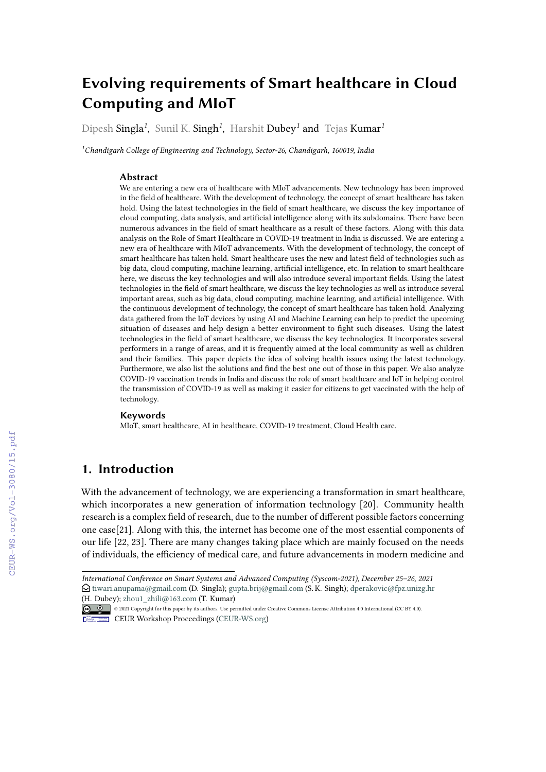# **Evolving requirements of Smart healthcare in Cloud Computing and MIoT**

Dipesh Singla*<sup>1</sup>* , Sunil K. Singh*<sup>1</sup>* , Harshit Dubey*<sup>1</sup>* and Tejas Kumar*<sup>1</sup>*

*<sup>1</sup>Chandigarh College of Engineering and Technology, Sector-26, Chandigarh, 160019, India*

#### **Abstract**

We are entering a new era of healthcare with MIoT advancements. New technology has been improved in the field of healthcare. With the development of technology, the concept of smart healthcare has taken hold. Using the latest technologies in the field of smart healthcare, we discuss the key importance of cloud computing, data analysis, and artificial intelligence along with its subdomains. There have been numerous advances in the field of smart healthcare as a result of these factors. Along with this data analysis on the Role of Smart Healthcare in COVID-19 treatment in India is discussed. We are entering a new era of healthcare with MIoT advancements. With the development of technology, the concept of smart healthcare has taken hold. Smart healthcare uses the new and latest field of technologies such as big data, cloud computing, machine learning, artificial intelligence, etc. In relation to smart healthcare here, we discuss the key technologies and will also introduce several important fields. Using the latest technologies in the field of smart healthcare, we discuss the key technologies as well as introduce several important areas, such as big data, cloud computing, machine learning, and artificial intelligence. With the continuous development of technology, the concept of smart healthcare has taken hold. Analyzing data gathered from the IoT devices by using AI and Machine Learning can help to predict the upcoming situation of diseases and help design a better environment to fight such diseases. Using the latest technologies in the field of smart healthcare, we discuss the key technologies. It incorporates several performers in a range of areas, and it is frequently aimed at the local community as well as children and their families. This paper depicts the idea of solving health issues using the latest technology. Furthermore, we also list the solutions and find the best one out of those in this paper. We also analyze COVID-19 vaccination trends in India and discuss the role of smart healthcare and IoT in helping control the transmission of COVID-19 as well as making it easier for citizens to get vaccinated with the help of technology.

#### **Keywords**

MIoT, smart healthcare, AI in healthcare, COVID-19 treatment, Cloud Health care.

### **1. Introduction**

With the advancement of technology, we are experiencing a transformation in smart healthcare, which incorporates a new generation of information technology [20]. Community health research is a complex field of research, due to the number of different possible factors concerning one case[21]. Along with this, the internet has become one of the most essential components of our life [22, 23]. There are many changes taking place which are mainly focused on the needs of individuals, the efficiency of medical care, and future advancements in modern medicine and

*International Conference on Smart Systems and Advanced Computing (Syscom-2021), December 25–26, 2021*  $\bigcirc$  [tiwari.anupama@gmail.com](mailto:tiwari.anupama@gmail.com) (D. Singla); [gupta.brij@gmail.com](mailto:gupta.brij@gmail.com) (S. K. Singh); [dperakovic@fpz.unizg.hr](mailto:dperakovic@fpz.unizg.hr) [\(H. Dube](https://creativecommons.org/licenses/by/4.0)y); zhou1 zhili@163.com (T. Kumar)

<sup>©</sup> 2021 Copyright for this paper by its authors. Use permitted under Creative Commons License Attribution 4.0 International (CC BY 4.0).

CEUR Workshop [Proceedings](http://ceur-ws.org) [\(CEUR-WS.org\)](http://ceur-ws.org)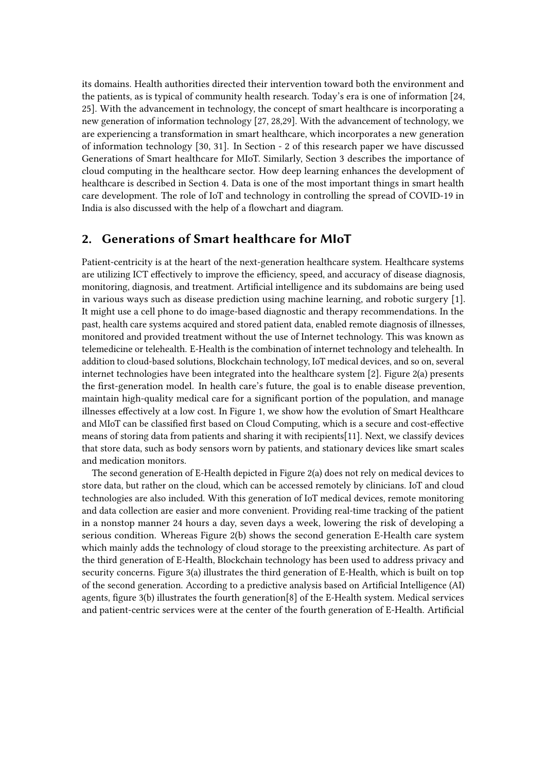its domains. Health authorities directed their intervention toward both the environment and the patients, as is typical of community health research. Today's era is one of information [24, 25]. With the advancement in technology, the concept of smart healthcare is incorporating a new generation of information technology [27, 28,29]. With the advancement of technology, we are experiencing a transformation in smart healthcare, which incorporates a new generation of information technology [30, 31]. In Section - 2 of this research paper we have discussed Generations of Smart healthcare for MIoT. Similarly, Section 3 describes the importance of cloud computing in the healthcare sector. How deep learning enhances the development of healthcare is described in Section 4. Data is one of the most important things in smart health care development. The role of IoT and technology in controlling the spread of COVID-19 in India is also discussed with the help of a flowchart and diagram.

#### **2. Generations of Smart healthcare for MIoT**

Patient-centricity is at the heart of the next-generation healthcare system. Healthcare systems are utilizing ICT effectively to improve the efficiency, speed, and accuracy of disease diagnosis, monitoring, diagnosis, and treatment. Artificial intelligence and its subdomains are being used in various ways such as disease prediction using machine learning, and robotic surgery [1]. It might use a cell phone to do image-based diagnostic and therapy recommendations. In the past, health care systems acquired and stored patient data, enabled remote diagnosis of illnesses, monitored and provided treatment without the use of Internet technology. This was known as telemedicine or telehealth. E-Health is the combination of internet technology and telehealth. In addition to cloud-based solutions, Blockchain technology, IoT medical devices, and so on, several internet technologies have been integrated into the healthcare system [2]. Figure 2(a) presents the first-generation model. In health care's future, the goal is to enable disease prevention, maintain high-quality medical care for a significant portion of the population, and manage illnesses effectively at a low cost. In Figure 1, we show how the evolution of Smart Healthcare and MIoT can be classified first based on Cloud Computing, which is a secure and cost-effective means of storing data from patients and sharing it with recipients[11]. Next, we classify devices that store data, such as body sensors worn by patients, and stationary devices like smart scales and medication monitors.

The second generation of E-Health depicted in Figure 2(a) does not rely on medical devices to store data, but rather on the cloud, which can be accessed remotely by clinicians. IoT and cloud technologies are also included. With this generation of IoT medical devices, remote monitoring and data collection are easier and more convenient. Providing real-time tracking of the patient in a nonstop manner 24 hours a day, seven days a week, lowering the risk of developing a serious condition. Whereas Figure 2(b) shows the second generation E-Health care system which mainly adds the technology of cloud storage to the preexisting architecture. As part of the third generation of E-Health, Blockchain technology has been used to address privacy and security concerns. Figure 3(a) illustrates the third generation of E-Health, which is built on top of the second generation. According to a predictive analysis based on Artificial Intelligence (AI) agents, figure 3(b) illustrates the fourth generation[8] of the E-Health system. Medical services and patient-centric services were at the center of the fourth generation of E-Health. Artificial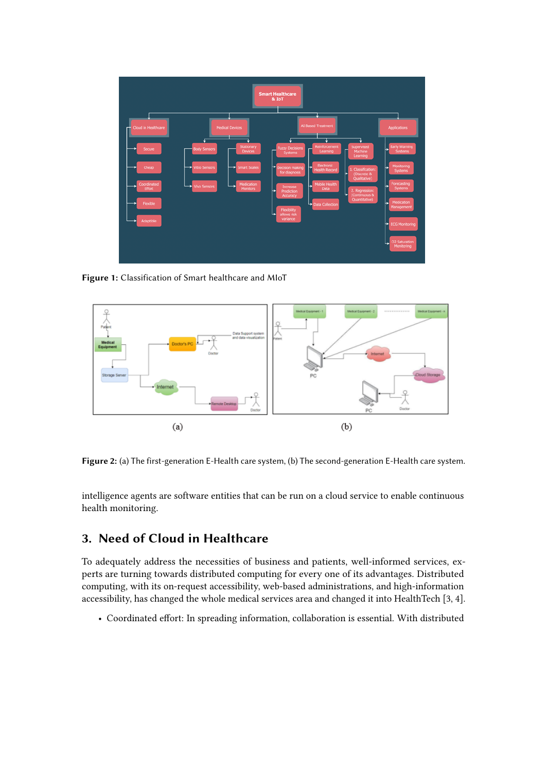

**Figure 1:** Classification of Smart healthcare and MIoT



**Figure 2:** (a) The first-generation E-Health care system, (b) The second-generation E-Health care system.

intelligence agents are software entities that can be run on a cloud service to enable continuous health monitoring.

# **3. Need of Cloud in Healthcare**

To adequately address the necessities of business and patients, well-informed services, experts are turning towards distributed computing for every one of its advantages. Distributed computing, with its on-request accessibility, web-based administrations, and high-information accessibility, has changed the whole medical services area and changed it into HealthTech [3, 4].

• Coordinated effort: In spreading information, collaboration is essential. With distributed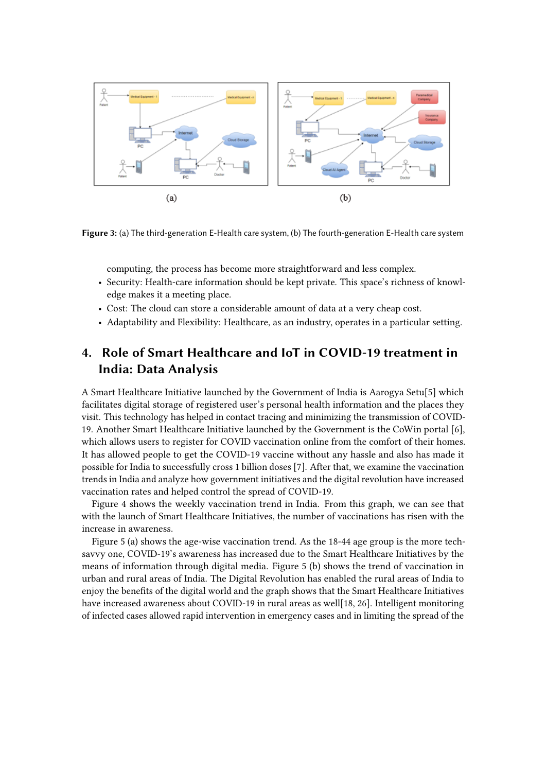

**Figure 3:** (a) The third-generation E-Health care system, (b) The fourth-generation E-Health care system

computing, the process has become more straightforward and less complex.

- Security: Health-care information should be kept private. This space's richness of knowledge makes it a meeting place.
- Cost: The cloud can store a considerable amount of data at a very cheap cost.
- Adaptability and Flexibility: Healthcare, as an industry, operates in a particular setting.

# **4. Role of Smart Healthcare and IoT in COVID-19 treatment in India: Data Analysis**

A Smart Healthcare Initiative launched by the Government of India is Aarogya Setu[5] which facilitates digital storage of registered user's personal health information and the places they visit. This technology has helped in contact tracing and minimizing the transmission of COVID-19. Another Smart Healthcare Initiative launched by the Government is the CoWin portal [6], which allows users to register for COVID vaccination online from the comfort of their homes. It has allowed people to get the COVID-19 vaccine without any hassle and also has made it possible for India to successfully cross 1 billion doses [7]. After that, we examine the vaccination trends in India and analyze how government initiatives and the digital revolution have increased vaccination rates and helped control the spread of COVID-19.

Figure 4 shows the weekly vaccination trend in India. From this graph, we can see that with the launch of Smart Healthcare Initiatives, the number of vaccinations has risen with the increase in awareness.

Figure 5 (a) shows the age-wise vaccination trend. As the 18-44 age group is the more techsavvy one, COVID-19's awareness has increased due to the Smart Healthcare Initiatives by the means of information through digital media. Figure 5 (b) shows the trend of vaccination in urban and rural areas of India. The Digital Revolution has enabled the rural areas of India to enjoy the benefits of the digital world and the graph shows that the Smart Healthcare Initiatives have increased awareness about COVID-19 in rural areas as well[18, 26]. Intelligent monitoring of infected cases allowed rapid intervention in emergency cases and in limiting the spread of the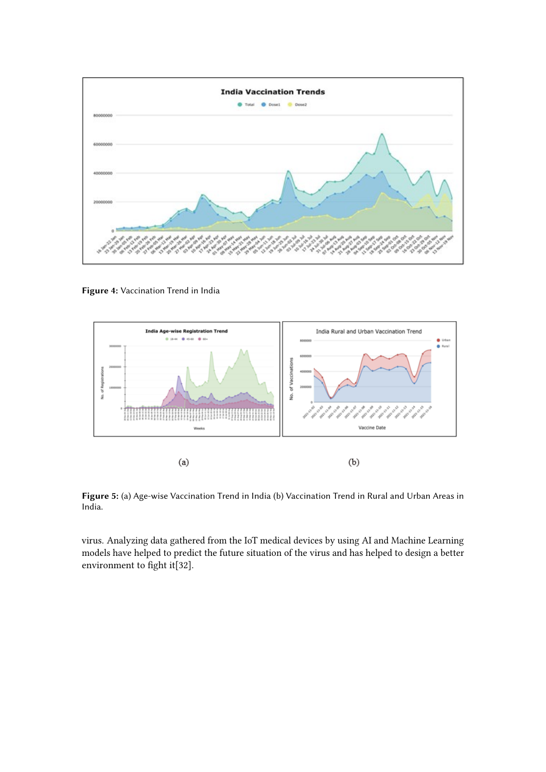

**Figure 4:** Vaccination Trend in India



**Figure 5:** (a) Age-wise Vaccination Trend in India (b) Vaccination Trend in Rural and Urban Areas in India.

virus. Analyzing data gathered from the IoT medical devices by using AI and Machine Learning models have helped to predict the future situation of the virus and has helped to design a better environment to fight it[32].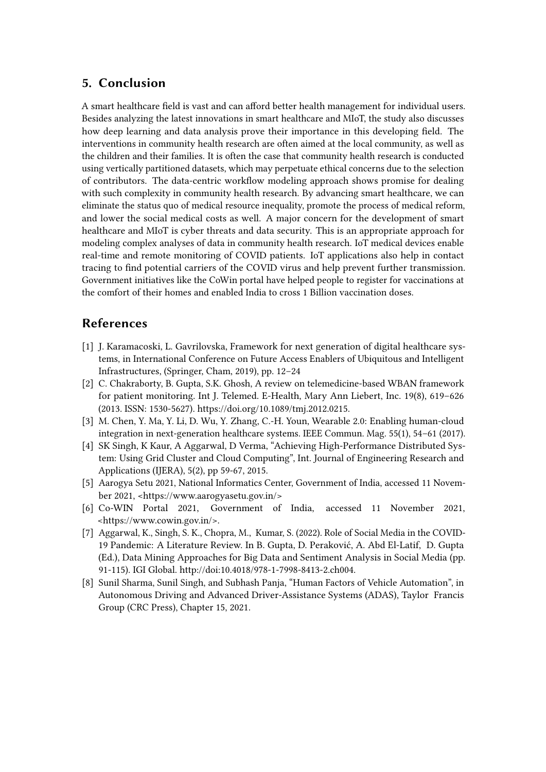### **5. Conclusion**

A smart healthcare field is vast and can afford better health management for individual users. Besides analyzing the latest innovations in smart healthcare and MIoT, the study also discusses how deep learning and data analysis prove their importance in this developing field. The interventions in community health research are often aimed at the local community, as well as the children and their families. It is often the case that community health research is conducted using vertically partitioned datasets, which may perpetuate ethical concerns due to the selection of contributors. The data-centric workflow modeling approach shows promise for dealing with such complexity in community health research. By advancing smart healthcare, we can eliminate the status quo of medical resource inequality, promote the process of medical reform, and lower the social medical costs as well. A major concern for the development of smart healthcare and MIoT is cyber threats and data security. This is an appropriate approach for modeling complex analyses of data in community health research. IoT medical devices enable real-time and remote monitoring of COVID patients. IoT applications also help in contact tracing to find potential carriers of the COVID virus and help prevent further transmission. Government initiatives like the CoWin portal have helped people to register for vaccinations at the comfort of their homes and enabled India to cross 1 Billion vaccination doses.

### **References**

- [1] J. Karamacoski, L. Gavrilovska, Framework for next generation of digital healthcare systems, in International Conference on Future Access Enablers of Ubiquitous and Intelligent Infrastructures, (Springer, Cham, 2019), pp. 12–24
- [2] C. Chakraborty, B. Gupta, S.K. Ghosh, A review on telemedicine-based WBAN framework for patient monitoring. Int J. Telemed. E-Health, Mary Ann Liebert, Inc. 19(8), 619–626 (2013. ISSN: 1530-5627). https://doi.org/10.1089/tmj.2012.0215.
- [3] M. Chen, Y. Ma, Y. Li, D. Wu, Y. Zhang, C.-H. Youn, Wearable 2.0: Enabling human-cloud integration in next-generation healthcare systems. IEEE Commun. Mag. 55(1), 54–61 (2017).
- [4] SK Singh, K Kaur, A Aggarwal, D Verma, "Achieving High-Performance Distributed System: Using Grid Cluster and Cloud Computing", Int. Journal of Engineering Research and Applications (IJERA), 5(2), pp 59-67, 2015.
- [5] Aarogya Setu 2021, National Informatics Center, Government of India, accessed 11 November 2021, <https://www.aarogyasetu.gov.in/>
- [6] Co-WIN Portal 2021, Government of India, accessed 11 November 2021, <https://www.cowin.gov.in/>.
- [7] Aggarwal, K., Singh, S. K., Chopra, M., Kumar, S. (2022). Role of Social Media in the COVID-19 Pandemic: A Literature Review. In B. Gupta, D. Peraković, A. Abd El-Latif, D. Gupta (Ed.), Data Mining Approaches for Big Data and Sentiment Analysis in Social Media (pp. 91-115). IGI Global. http://doi:10.4018/978-1-7998-8413-2.ch004.
- [8] Sunil Sharma, Sunil Singh, and Subhash Panja, "Human Factors of Vehicle Automation", in Autonomous Driving and Advanced Driver-Assistance Systems (ADAS), Taylor Francis Group (CRC Press), Chapter 15, 2021.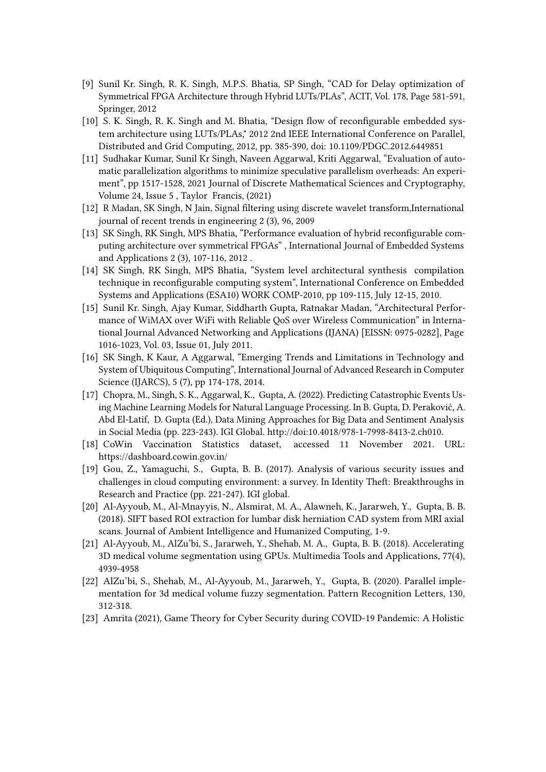- [9] Sunil Kr. Singh, R. K. Singh, M.P.S. Bhatia, SP Singh, "CAD for Delay optimization of Symmetrical FPGA Architecture through Hybrid LUTs/PLAs", ACIT, Vol. 178, Page 581-591, Springer, 2012
- [10] S. K. Singh, R. K. Singh and M. Bhatia, "Design flow of reconfigurable embedded system architecture using LUTs/PLAs," 2012 2nd IEEE International Conference on Parallel, Distributed and Grid Computing, 2012, pp. 385-390, doi: 10.1109/PDGC.2012.6449851
- [11] Sudhakar Kumar, Sunil Kr Singh, Naveen Aggarwal, Kriti Aggarwal, "Evaluation of automatic parallelization algorithms to minimize speculative parallelism overheads: An experiment", pp 1517-1528, 2021 Journal of Discrete Mathematical Sciences and Cryptography, Volume 24, Issue 5 , Taylor Francis, (2021)
- [12] R Madan, SK Singh, N Jain, Signal filtering using discrete wavelet transform,International journal of recent trends in engineering 2 (3), 96, 2009
- [13] SK Singh, RK Singh, MPS Bhatia, "Performance evaluation of hybrid reconfigurable computing architecture over symmetrical FPGAs" , International Journal of Embedded Systems and Applications 2 (3), 107-116, 2012 .
- [14] SK Singh, RK Singh, MPS Bhatia, "System level architectural synthesis compilation technique in reconfigurable computing system", International Conference on Embedded Systems and Applications (ESA10) WORK COMP-2010, pp 109-115, July 12-15, 2010.
- [15] Sunil Kr. Singh, Ajay Kumar, Siddharth Gupta, Ratnakar Madan, "Architectural Performance of WiMAX over WiFi with Reliable QoS over Wireless Communication" in International Journal Advanced Networking and Applications (IJANA) [EISSN: 0975-0282], Page 1016-1023, Vol. 03, Issue 01, July 2011.
- [16] SK Singh, K Kaur, A Aggarwal, "Emerging Trends and Limitations in Technology and System of Ubiquitous Computing", International Journal of Advanced Research in Computer Science (IJARCS), 5 (7), pp 174-178, 2014.
- [17] Chopra, M., Singh, S. K., Aggarwal, K., Gupta, A. (2022). Predicting Catastrophic Events Using Machine Learning Models for Natural Language Processing. In B. Gupta, D. Peraković, A. Abd El-Latif, D. Gupta (Ed.), Data Mining Approaches for Big Data and Sentiment Analysis in Social Media (pp. 223-243). IGI Global. http://doi:10.4018/978-1-7998-8413-2.ch010.
- [18] CoWin Vaccination Statistics dataset, accessed 11 November 2021. URL: https://dashboard.cowin.gov.in/
- [19] Gou, Z., Yamaguchi, S., Gupta, B. B. (2017). Analysis of various security issues and challenges in cloud computing environment: a survey. In Identity Theft: Breakthroughs in Research and Practice (pp. 221-247). IGI global.
- [20] Al-Ayyoub, M., Al-Mnayyis, N., Alsmirat, M. A., Alawneh, K., Jararweh, Y., Gupta, B. B. (2018). SIFT based ROI extraction for lumbar disk herniation CAD system from MRI axial scans. Journal of Ambient Intelligence and Humanized Computing, 1-9.
- [21] Al-Ayyoub, M., AlZu'bi, S., Jararweh, Y., Shehab, M. A., Gupta, B. B. (2018). Accelerating 3D medical volume segmentation using GPUs. Multimedia Tools and Applications, 77(4), 4939-4958
- [22] AlZu'bi, S., Shehab, M., Al-Ayyoub, M., Jararweh, Y., Gupta, B. (2020). Parallel implementation for 3d medical volume fuzzy segmentation. Pattern Recognition Letters, 130, 312-318.
- [23] Amrita (2021), Game Theory for Cyber Security during COVID-19 Pandemic: A Holistic